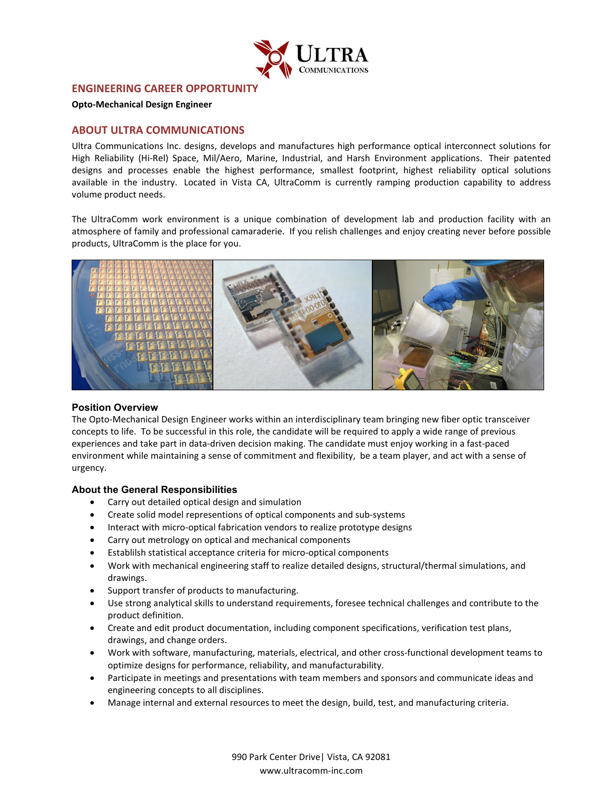

# **ENGINEERING CAREER OPPORTUNITY**

#### **Opto-Mechanical Design Engineer**

## **ABOUT ULTRA COMMUNICATIONS**

Ultra Communications Inc. designs, develops and manufactures high performance optical interconnect solutions for High Reliability (Hi-Rel) Space, Mil/Aero, Marine, Industrial, and Harsh Environment applications. Their patented designs and processes enable the highest performance, smallest footprint, highest reliability optical solutions available in the industry. Located in Vista CA, UltraComm is currently ramping production capability to address volume product needs.

The UltraComm work environment is a unique combination of development lab and production facility with an atmosphere of family and professional camaraderie. If you relish challenges and enjoy creating never before possible products, UltraComm is the place for you.



### **Position Overview**

The Opto-Mechanical Design Engineer works within an interdisciplinary team bringing new fiber optic transceiver concepts to life. To be successful in this role, the candidate will be required to apply a wide range of previous experiences and take part in data-driven decision making. The candidate must enjoy working in a fast-paced environment while maintaining a sense of commitment and flexibility, be a team player, and act with a sense of urgency.

### **About the General Responsibilities**

- Carry out detailed optical design and simulation
- Create solid model representions of optical components and sub-systems
- Interact with micro-optical fabrication vendors to realize prototype designs
- Carry out metrology on optical and mechanical components
- Establilsh statistical acceptance criteria for micro-optical components
- Work with mechanical engineering staff to realize detailed designs, structural/thermal simulations, and drawings.
- Support transfer of products to manufacturing.
- Use strong analytical skills to understand requirements, foresee technical challenges and contribute to the product definition.
- Create and edit product documentation, including component specifications, verification test plans, drawings, and change orders.
- Work with software, manufacturing, materials, electrical, and other cross-functional development teams to optimize designs for performance, reliability, and manufacturability.
- Participate in meetings and presentations with team members and sponsors and communicate ideas and engineering concepts to all disciplines.
- Manage internal and external resources to meet the design, build, test, and manufacturing criteria.